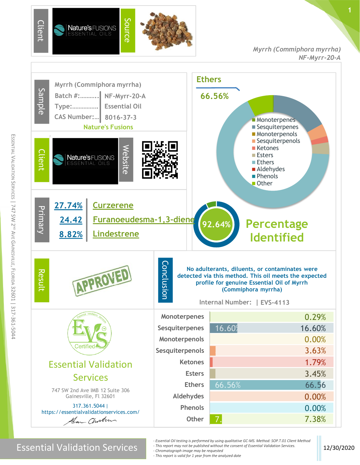

*Myrrh (Commiphora myrrha) NF-Myrr-20-A*



#### Essential Validation Services **12/30/2020**

- *- Essential Oil testing is performed by using qualitative GC-MS. Method: SOP.T.01 Client Method*
- *- This report may not be published without the consent of Essential Validation Services.*
- *- Chromatograph image may be requested*
- *- This report is valid for 1 year from the analyzed date*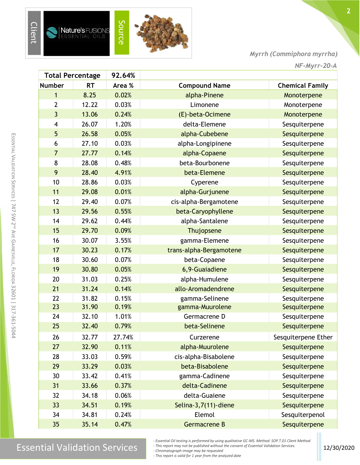

Client

*Myrrh (Commiphora myrrha)*

|                | <b>Total Percentage</b> | 92.64% |                         |                        |
|----------------|-------------------------|--------|-------------------------|------------------------|
| <b>Number</b>  | <b>RT</b>               | Area % | <b>Compound Name</b>    | <b>Chemical Family</b> |
| 1              | 8.25                    | 0.02%  | alpha-Pinene            | Monoterpene            |
| $\overline{2}$ | 12.22                   | 0.03%  | Limonene                | Monoterpene            |
| $\overline{3}$ | 13.06                   | 0.24%  | (E)-beta-Ocimene        | Monoterpene            |
| 4              | 26.07                   | 1.20%  | delta-Elemene           | Sesquiterpene          |
| 5              | 26.58                   | 0.05%  | alpha-Cubebene          | Sesquiterpene          |
| 6              | 27.10                   | 0.03%  | alpha-Longipinene       | Sesquiterpene          |
| $\overline{7}$ | 27.77                   | 0.14%  | alpha-Copaene           | Sesquiterpene          |
| 8              | 28.08                   | 0.48%  | beta-Bourbonene         | Sesquiterpene          |
| 9              | 28.40                   | 4.91%  | beta-Elemene            | Sesquiterpene          |
| 10             | 28.86                   | 0.03%  | Cyperene                | Sesquiterpene          |
| 11             | 29.08                   | 0.01%  | alpha-Gurjunene         | Sesquiterpene          |
| 12             | 29.40                   | 0.07%  | cis-alpha-Bergamotene   | Sesquiterpene          |
| 13             | 29.56                   | 0.55%  | beta-Caryophyllene      | Sesquiterpene          |
| 14             | 29.62                   | 0.44%  | alpha-Santalene         | Sesquiterpene          |
| 15             | 29.70                   | 0.09%  | Thujopsene              | Sesquiterpene          |
| 16             | 30.07                   | 3.55%  | gamma-Elemene           | Sesquiterpene          |
| 17             | 30.23                   | 0.17%  | trans-alpha-Bergamotene | Sesquiterpene          |
| 18             | 30.60                   | 0.07%  | beta-Copaene            | Sesquiterpene          |
| 19             | 30.80                   | 0.05%  | 6,9-Guaiadiene          | Sesquiterpene          |
| 20             | 31.03                   | 0.25%  | alpha-Humulene          | Sesquiterpene          |
| 21             | 31.24                   | 0.14%  | allo-Aromadendrene      | Sesquiterpene          |
| 22             | 31.82                   | 0.15%  | gamma-Selinene          | Sesquiterpene          |
| 23             | 31.90                   | 0.19%  | gamma-Muurolene         | Sesquiterpene          |
| 24             | 32.10                   | 1.01%  | Germacrene D            | Sesquiterpene          |
| 25             | 32.40                   | 0.79%  | beta-Selinene           | Sesquiterpene          |
| 26             | 32.77                   | 27.74% | Curzerene               | Sesquiterpene Ether    |
| 27             | 32.90                   | 0.11%  | alpha-Muurolene         | Sesquiterpene          |
| 28             | 33.03                   | 0.59%  | cis-alpha-Bisabolene    | Sesquiterpene          |
| 29             | 33.29                   | 0.03%  | beta-Bisabolene         | Sesquiterpene          |
| 30             | 33.42                   | 0.41%  | gamma-Cadinene          | Sesquiterpene          |
| 31             | 33.66                   | 0.37%  | delta-Cadinene          | Sesquiterpene          |
| 32             | 34.18                   | 0.06%  | delta-Guaiene           | Sesquiterpene          |
| 33             | 34.51                   | 0.19%  | Selina-3,7(11)-diene    | Sesquiterpene          |
| 34             | 34.81                   | 0.24%  | Elemol                  | Sesquiterpenol         |
| 35             | 35.14                   | 0.47%  | Germacrene B            | Sesquiterpene          |

# $\textcolor{red}{\textbf{Essens} \textcolor{red}{\textbf{Estarray}}}\textcolor{red}{\textcolor{red}{\textbf{Essens} \textbf{not} \textbf{not} \textbf{not} \textbf{not} \textbf{not} \textbf{not} \textbf{not} \textbf{not} \textbf{not} \textbf{not} \textbf{not} \textbf{not} \textbf{not} \textbf{not} \textbf{not} \textbf{not} \textbf{not} \textbf{not} \textbf{not} \textbf{not} \textbf{not} \textbf{not} \textbf{not} \textbf{not} \textbf{not} \textbf{not} \textbf{not} \textbf{not} \textbf{not} \$

*- This report is valid for 1 year from the analyzed date*

*<sup>-</sup> Essential Oil testing is performed by using qualitative GC-MS. Method: SOP.T.01 Client Method - This report may not be published without the consent of Essential Validation Services.*

*<sup>-</sup> Chromatograph image may be requested*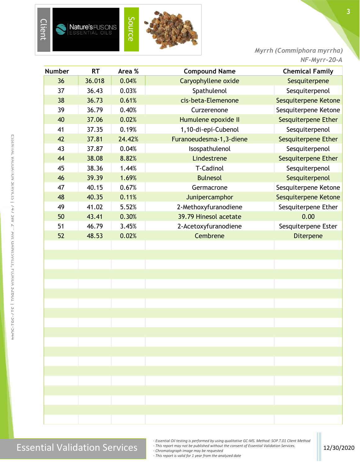

*Myrrh (Commiphora myrrha) NF-Myrr-20-A*

**3**

| <b>Number</b> | <b>RT</b> | Area % | <b>Compound Name</b>    | <b>Chemical Family</b> |
|---------------|-----------|--------|-------------------------|------------------------|
| 36            | 36.018    | 0.04%  | Caryophyllene oxide     | Sesquiterpene          |
| 37            | 36.43     | 0.03%  | Spathulenol             | Sesquiterpenol         |
| 38            | 36.73     | 0.61%  | cis-beta-Elemenone      | Sesquiterpene Ketone   |
| 39            | 36.79     | 0.40%  | Curzerenone             | Sesquiterpene Ketone   |
| 40            | 37.06     | 0.02%  | Humulene epoxide II     | Sesquiterpene Ether    |
| 41            | 37.35     | 0.19%  | 1,10-di-epi-Cubenol     | Sesquiterpenol         |
| 42            | 37.81     | 24.42% | Furanoeudesma-1,3-diene | Sesquiterpene Ether    |
| 43            | 37.87     | 0.04%  | Isospathulenol          | Sesquiterpenol         |
| 44            | 38.08     | 8.82%  | Lindestrene             | Sesquiterpene Ether    |
| 45            | 38.36     | 1.44%  | T-Cadinol               | Sesquiterpenol         |
| 46            | 39.39     | 1.69%  | <b>Bulnesol</b>         | Sesquiterpenol         |
| 47            | 40.15     | 0.67%  | Germacrone              | Sesquiterpene Ketone   |
| 48            | 40.35     | 0.11%  | Junipercamphor          | Sesquiterpene Ketone   |
| 49            | 41.02     | 5.52%  | 2-Methoxyfuranodiene    | Sesquiterpene Ether    |
| 50            | 43.41     | 0.30%  | 39.79 Hinesol acetate   | 0.00                   |
| 51            | 46.79     | 3.45%  | 2-Acetoxyfuranodiene    | Sesquiterpene Ester    |
| 52            | 48.53     | 0.02%  | Cembrene                | Diterpene              |
|               |           |        |                         |                        |
|               |           |        |                         |                        |
|               |           |        |                         |                        |
|               |           |        |                         |                        |
|               |           |        |                         |                        |
|               |           |        |                         |                        |
|               |           |        |                         |                        |
|               |           |        |                         |                        |
|               |           |        |                         |                        |
|               |           |        |                         |                        |
|               |           |        |                         |                        |
|               |           |        |                         |                        |
|               |           |        |                         |                        |
|               |           |        |                         |                        |
|               |           |        |                         |                        |
|               |           |        |                         |                        |
|               |           |        |                         |                        |
|               |           |        |                         |                        |
|               |           |        |                         |                        |

# Essential Validation Services 12/30/2020<br>- Chromatograph image may be requested<br>- Chromatograph image may be requested

*- Essential Oil testing is performed by using qualitative GC-MS. Method: SOP.T.01 Client Method*

*- This report may not be published without the consent of Essential Validation Services. - Chromatograph image may be requested*

*- This report is valid for 1 year from the analyzed date*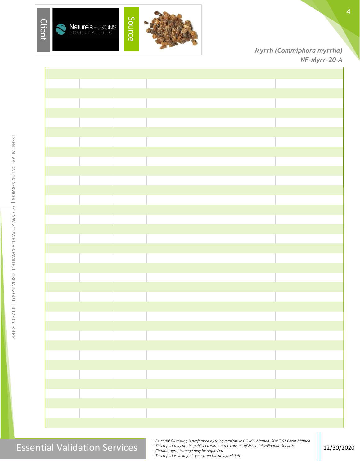



*Myrrh (Commiphora myrrha) NF-Myrr-20-A*



### Essential Validation Services **12/30/2020**<br>Chromatograph image may be published without the consent of Essential Validation Services.

*- Essential Oil testing is performed by using qualitative GC-MS. Method: SOP.T.01 Client Method*

*- This report may not be published without the consent of Essential Validation Services.*

*- Chromatograph image may be requested*

*- This report is valid for 1 year from the analyzed date*

E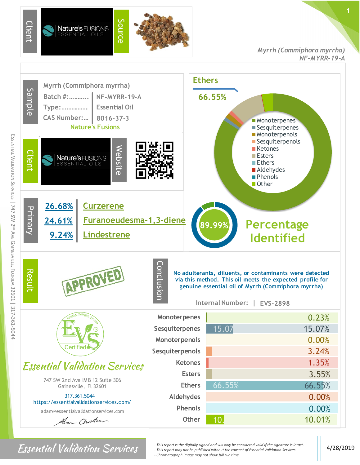

ESSENTIAL

VALIDATION SERVICES |

747 SW 2ND AVE

GAINESVILLE,

FLORIDA 32601

|

317-361-5044

*Myrrh (Commiphora myrrha) NF-MYRR-19-A*



*For Sential Validation Services*  $\cdot$  <sup>*- This report is the digitally signed and will only be considered valid if the signature is intact.* 4/28/2019</sup> *- This report may not be published without the consent of Essential Validation Services. - Chromatograph image may not show full run time*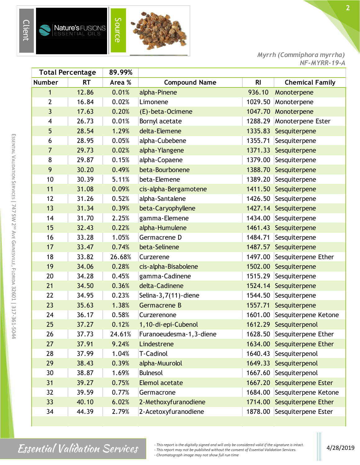

s

**Nature's FUSIONS**<br>ESSENTIAL OILS



*Myrrh (Commiphora myrrha) NF-MYRR-19-A*

| <b>Total Percentage</b><br>89.99% |           |        |                          |                |                             |
|-----------------------------------|-----------|--------|--------------------------|----------------|-----------------------------|
| <b>Number</b>                     | <b>RT</b> | Area % | <b>Compound Name</b>     | R <sub>l</sub> | <b>Chemical Family</b>      |
| $\mathbf{1}$                      | 12.86     | 0.01%  | alpha-Pinene             | 936.10         | Monoterpene                 |
| $\overline{2}$                    | 16.84     | 0.02%  | Limonene                 | 1029.50        | Monoterpene                 |
| 3                                 | 17.63     | 0.20%  | (E)-beta-Ocimene         | 1047.70        | Monoterpene                 |
| $\overline{\mathbf{4}}$           | 26.73     | 0.01%  | Bornyl acetate           | 1288.29        | Monoterpene Ester           |
| 5                                 | 28.54     | 1.29%  | delta-Elemene            | 1335.83        | Sesquiterpene               |
| 6                                 | 28.95     | 0.05%  | alpha-Cubebene           | 1355.71        | Sesquiterpene               |
| $\overline{7}$                    | 29.73     | 0.02%  | alpha-Ylangene           | 1371.33        | Sesquiterpene               |
| 8                                 | 29.87     | 0.15%  | alpha-Copaene            | 1379.00        | Sesquiterpene               |
| 9                                 | 30.20     | 0.49%  | beta-Bourbonene          | 1388.70        | Sesquiterpene               |
| 10                                | 30.39     | 5.11%  | beta-Elemene             | 1389.20        | Sesquiterpene               |
| 11                                | 31.08     | 0.09%  | cis-alpha-Bergamotene    | 1411.50        | Sesquiterpene               |
| 12                                | 31.26     | 0.52%  | alpha-Santalene          | 1426.50        | Sesquiterpene               |
| 13                                | 31.34     | 0.39%  | beta-Caryophyllene       |                | 1427.14 Sesquiterpene       |
| 14                                | 31.70     | 2.25%  | gamma-Elemene            | 1434.00        | Sesquiterpene               |
| 15                                | 32.43     | 0.22%  | alpha-Humulene           | 1461.43        | Sesquiterpene               |
| 16                                | 33.28     | 1.05%  | Germacrene D             | 1484.71        | Sesquiterpene               |
| 17                                | 33.47     | 0.74%  | beta-Selinene            |                | 1487.57 Sesquiterpene       |
| 18                                | 33.82     | 26.68% | Curzerene                | 1497.00        | Sesquiterpene Ether         |
| 19                                | 34.06     | 0.28%  | cis-alpha-Bisabolene     | 1502.00        | Sesquiterpene               |
| 20                                | 34.28     | 0.45%  | gamma-Cadinene           | 1515.29        | Sesquiterpene               |
| 21                                | 34.50     | 0.36%  | delta-Cadinene           |                | 1524.14 Sesquiterpene       |
| 22                                | 34.95     | 0.23%  | Selina- $3,7(11)$ -diene | 1544.50        | Sesquiterpene               |
| 23                                | 35.63     | 1.38%  | Germacrene B             | 1557.71        | Sesquiterpene               |
| 24                                | 36.17     | 0.58%  | Curzerenone              | 1601.00        | Sesquiterpene Ketone        |
| 25                                | 37.27     | 0.12%  | 1,10-di-epi-Cubenol      |                | 1612.29 Sesquiterpenol      |
| 26                                | 37.73     | 24.61% | Furanoeudesma-1, 3-diene |                | 1628.50 Sesquiterpene Ether |
| 27                                | 37.91     | 9.24%  | Lindestrene              | 1634.00        | Sesquiterpene Ether         |
| 28                                | 37.99     | 1.04%  | T-Cadinol                | 1640.43        | Sesquiterpenol              |
| 29                                | 38.43     | 0.39%  | alpha-Muurolol           |                | 1649.33 Sesquiterpenol      |
| 30                                | 38.87     | 1.69%  | <b>Bulnesol</b>          | 1667.60        | Sesquiterpenol              |
| 31                                | 39.27     | 0.75%  | <b>Elemol acetate</b>    | 1667.20        | Sesquiterpene Ester         |
| 32                                | 39.59     | 0.77%  | Germacrone               | 1684.00        | Sesquiterpene Ketone        |
| 33                                | 40.10     | 6.02%  | 2-Methoxyfuranodiene     | 1714.00        | Sesquiterpene Ether         |
| 34                                | 44.39     | 2.79%  | 2-Acetoxyfuranodiene     | 1878.00        | Sesquiterpene Ester         |

*Finis report is the digitally signed and will only be considered valid if the signature is intact.*<br> *Al Al alightary Services 4/28/2019*<br> *Changebout incegary and the will sure time* on the function of Essential Vali *- This report may not be published without the consent of Essential Validation Services. - Chromatograph image may not show full run time*